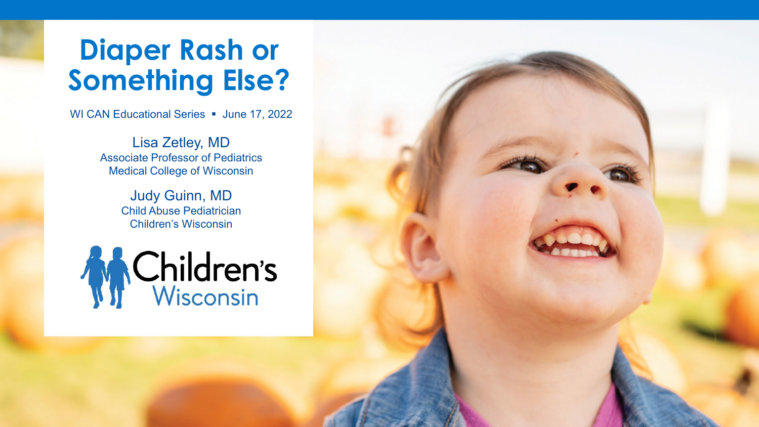#### **Diaper Rash or Something Else?**

WI CAN Educational Series • June 17, 2022

Lisa Zetley, MD Associate Professor of Pediatrics Medical College of Wisconsin

> Judy Guinn, MD Child Abuse Pediatrician Children's Wisconsin

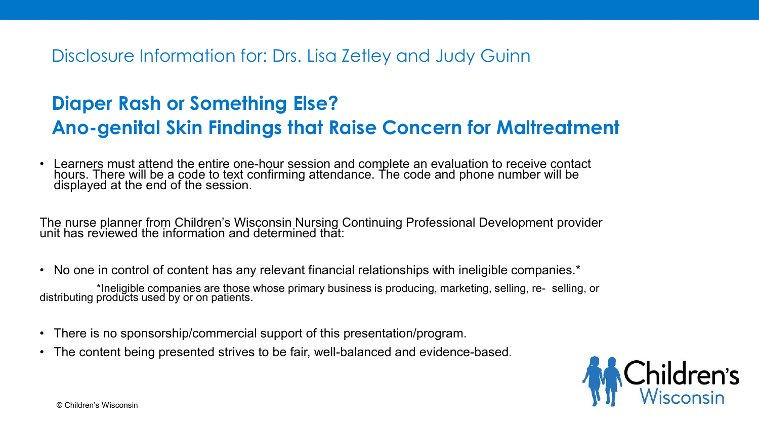Disclosure Information for: Drs. Lisa Zetley and Judy Guinn

#### **Diaper Rash or Something Else? Ano-genital Skin Findings that Raise Concern for Maltreatment**

• Learners must attend the entire one-hour session and complete an evaluation to receive contact hours. There will be a code to text confirming attendance. The code and phone number will be displayed at the end of the session.

The nurse planner from Children's Wisconsin Nursing Continuing Professional Development provider unit has reviewed the information and determined that:

• No one in control of content has any relevant financial relationships with ineligible companies.\*

\*Ineligible companies are those whose primary business is producing, marketing, selling, re- selling, or distributing products used by or on patients.

- There is no sponsorship/commercial support of this presentation/program.
- The content being presented strives to be fair, well-balanced and evidence-based.

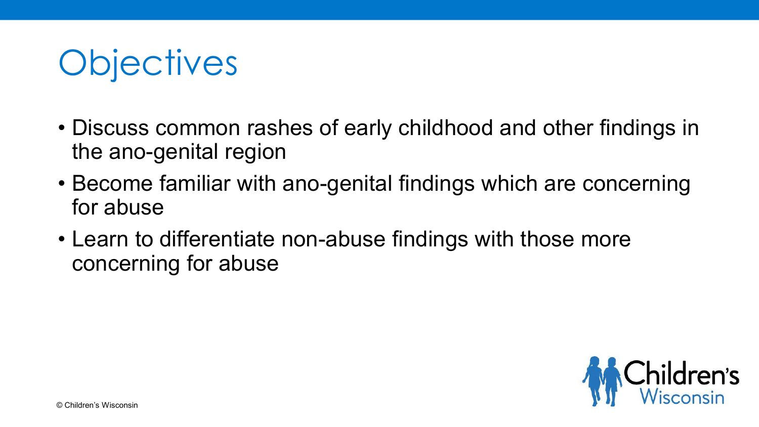# **Objectives**

- Discuss common rashes of early childhood and other findings in the ano-genital region
- Become familiar with ano-genital findings which are concerning for abuse
- Learn to differentiate non-abuse findings with those more concerning for abuse

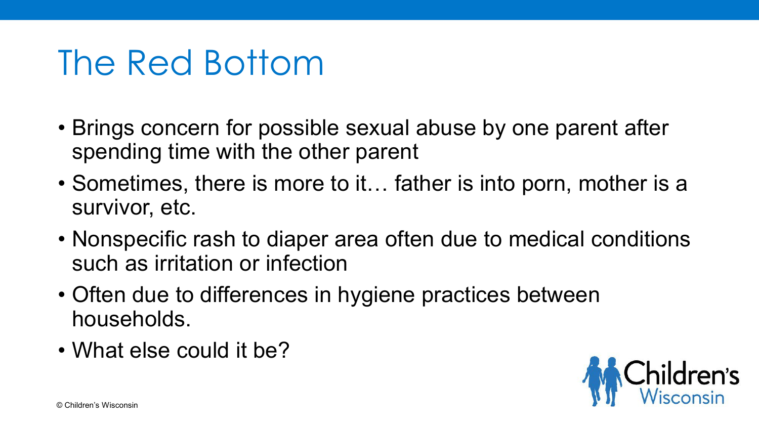#### The Red Bottom

- Brings concern for possible sexual abuse by one parent after spending time with the other parent
- Sometimes, there is more to it... father is into porn, mother is a survivor, etc.
- Nonspecific rash to diaper area often due to medical conditions such as irritation or infection
- Often due to differences in hygiene practices between households.
- What else could it be?

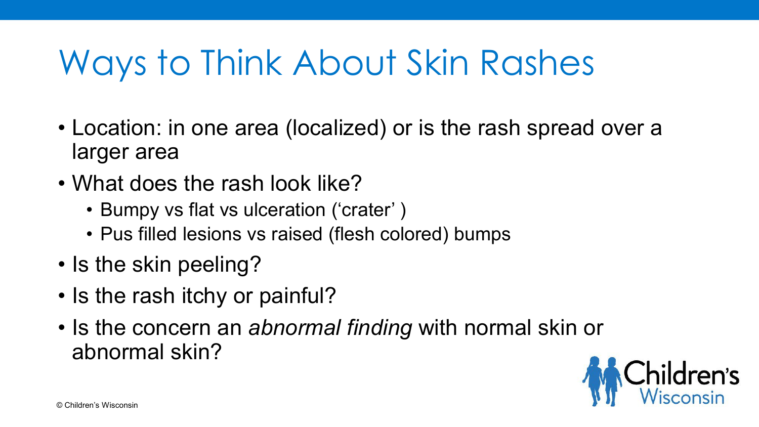# Ways to Think About Skin Rashes

- Location: in one area (localized) or is the rash spread over a larger area
- What does the rash look like?
	- Bumpy vs flat vs ulceration ('crater' )
	- Pus filled lesions vs raised (flesh colored) bumps
- Is the skin peeling?
- Is the rash itchy or painful?
- Is the concern an *abnormal finding* with normal skin or abnormal skin?

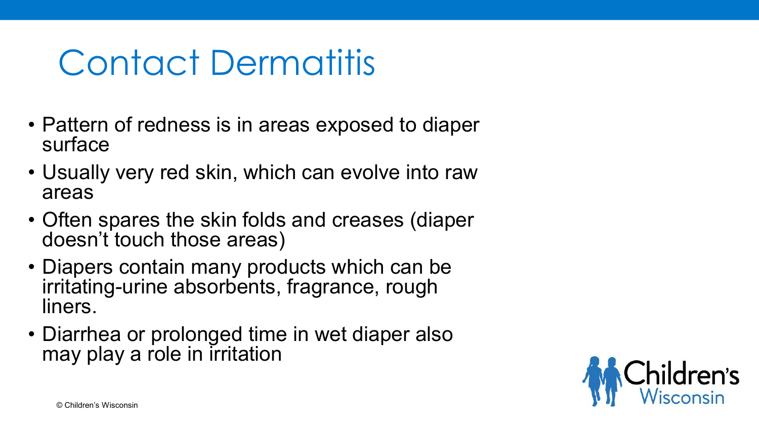### Contact Dermatitis

- Pattern of redness is in areas exposed to diaper surface
- Usually very red skin, which can evolve into raw areas
- Often spares the skin folds and creases (diaper doesn't touch those areas)
- Diapers contain many products which can be irritating-urine absorbents, fragrance, rough liners.
- Diarrhea or prolonged time in wet diaper also may play a role in irritation

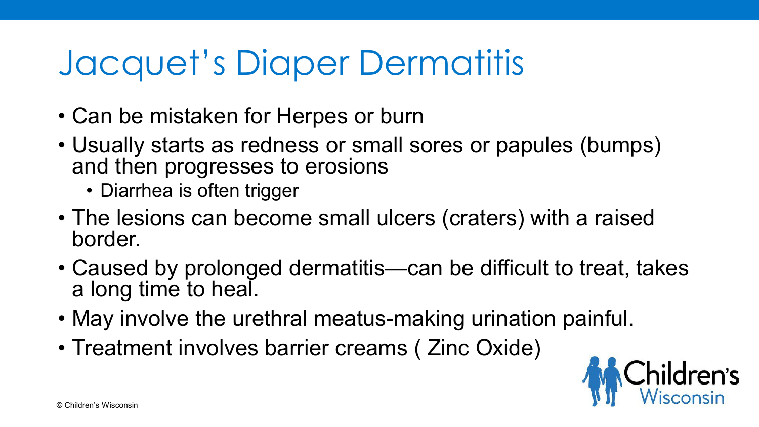# Jacquet's Diaper Dermatitis

- Can be mistaken for Herpes or burn
- Usually starts as redness or small sores or papules (bumps) and then progresses to erosions
	- Diarrhea is often trigger
- The lesions can become small ulcers (craters) with a raised border.
- Caused by prolonged dermatitis—can be difficult to treat, takes a long time to heal.
- May involve the urethral meatus-making urination painful.
- Treatment involves barrier creams ( Zinc Oxide)

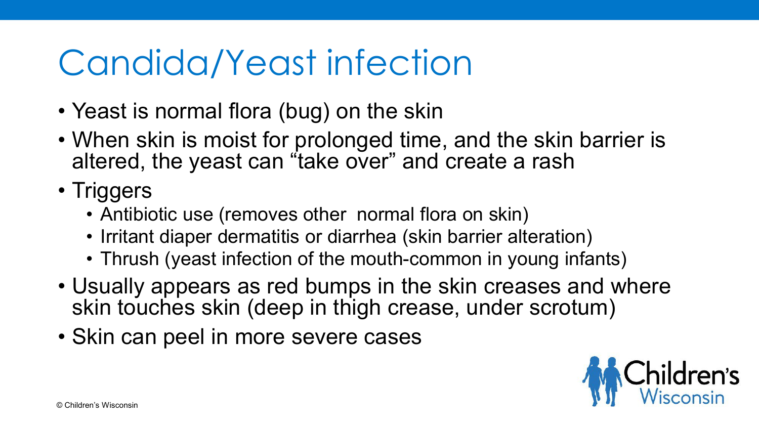### Candida/Yeast infection

- Yeast is normal flora (bug) on the skin
- When skin is moist for prolonged time, and the skin barrier is altered, the yeast can "take over" and create a rash
- Triggers
	- Antibiotic use (removes other normal flora on skin)
	- Irritant diaper dermatitis or diarrhea (skin barrier alteration)
	- Thrush (yeast infection of the mouth-common in young infants)
- Usually appears as red bumps in the skin creases and where skin touches skin (deep in thigh crease, under scrotum)
- Skin can peel in more severe cases

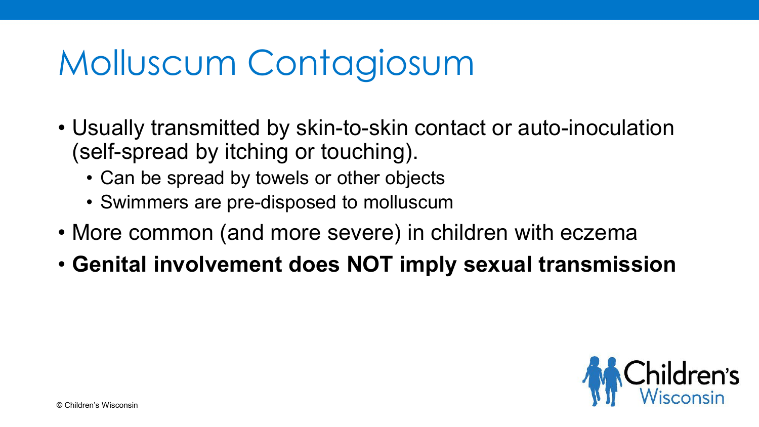# Molluscum Contagiosum

- Usually transmitted by skin-to-skin contact or auto-inoculation (self-spread by itching or touching).
	- Can be spread by towels or other objects
	- Swimmers are pre-disposed to molluscum
- More common (and more severe) in children with eczema
- **Genital involvement does NOT imply sexual transmission**

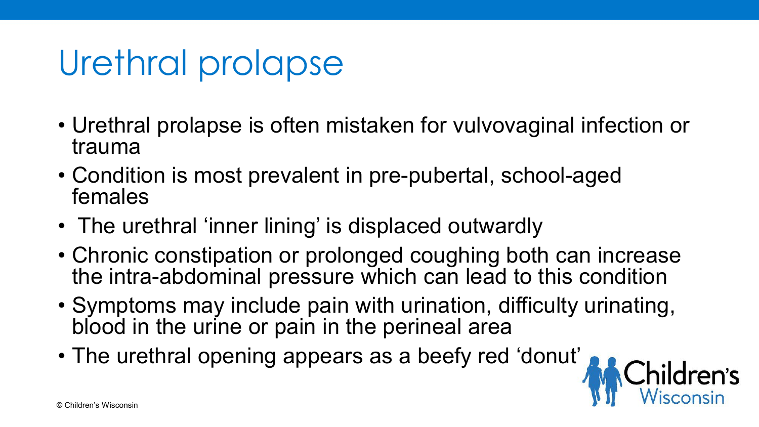# Urethral prolapse

- Urethral prolapse is often mistaken for vulvovaginal infection or trauma
- Condition is most prevalent in pre-pubertal, school-aged females
- The urethral 'inner lining' is displaced outwardly
- Chronic constipation or prolonged coughing both can increase the intra-abdominal pressure which can lead to this condition
- Symptoms may include pain with urination, difficulty urinating, blood in the urine or pain in the perineal area

**ildren's**<br>isconsin

• The urethral opening appears as a beefy red 'donut'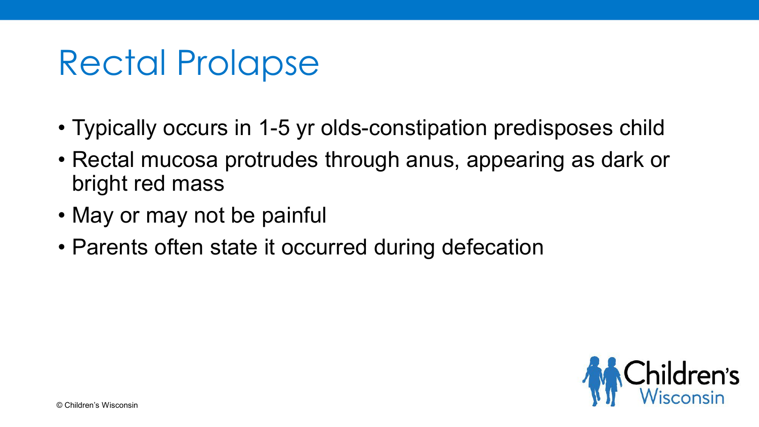#### Rectal Prolapse

- Typically occurs in 1-5 yr olds-constipation predisposes child
- Rectal mucosa protrudes through anus, appearing as dark or bright red mass
- May or may not be painful
- Parents often state it occurred during defecation

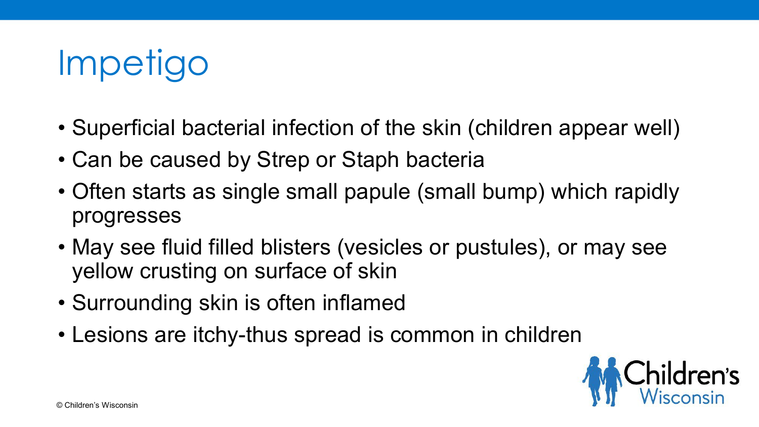

- Superficial bacterial infection of the skin (children appear well)
- Can be caused by Strep or Staph bacteria
- Often starts as single small papule (small bump) which rapidly progresses
- May see fluid filled blisters (vesicles or pustules), or may see yellow crusting on surface of skin
- Surrounding skin is often inflamed
- Lesions are itchy-thus spread is common in children

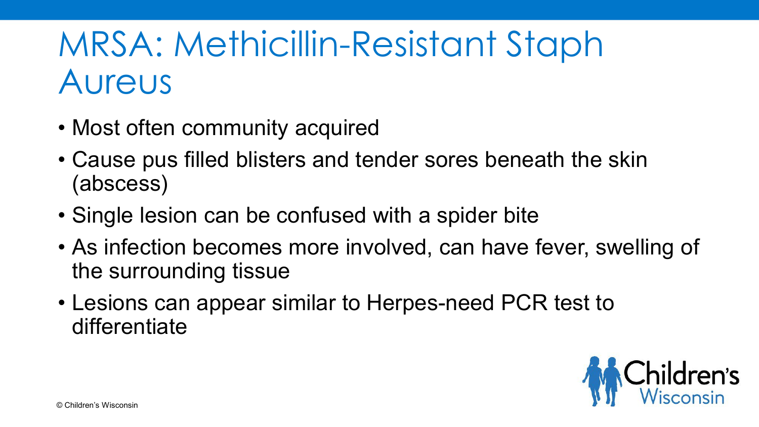# MRSA: Methicillin-Resistant Staph Aureus

- Most often community acquired
- Cause pus filled blisters and tender sores beneath the skin (abscess)
- Single lesion can be confused with a spider bite
- As infection becomes more involved, can have fever, swelling of the surrounding tissue
- Lesions can appear similar to Herpes-need PCR test to differentiate

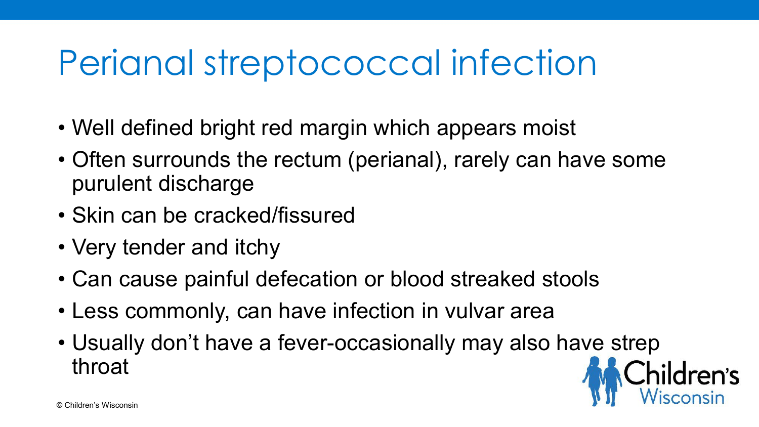# Perianal streptococcal infection

- Well defined bright red margin which appears moist
- Often surrounds the rectum (perianal), rarely can have some purulent discharge
- Skin can be cracked/fissured
- Very tender and itchy
- Can cause painful defecation or blood streaked stools
- Less commonly, can have infection in vulvar area
- Usually don't have a fever-occasionally may also have strep throat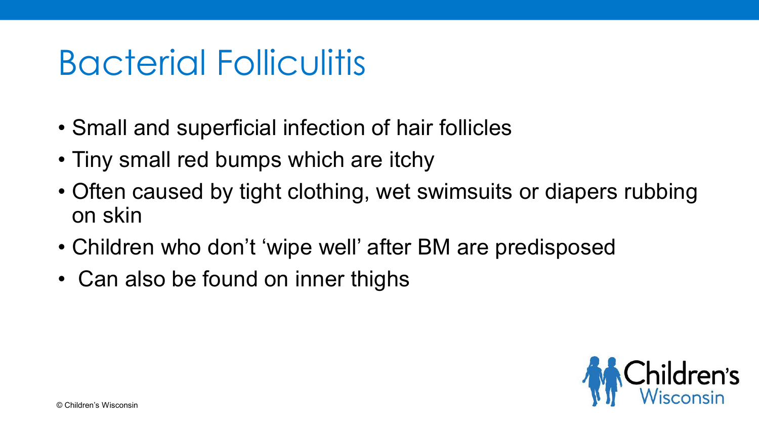# Bacterial Folliculitis

- Small and superficial infection of hair follicles
- Tiny small red bumps which are itchy
- Often caused by tight clothing, wet swimsuits or diapers rubbing on skin
- Children who don't 'wipe well' after BM are predisposed
- Can also be found on inner thighs

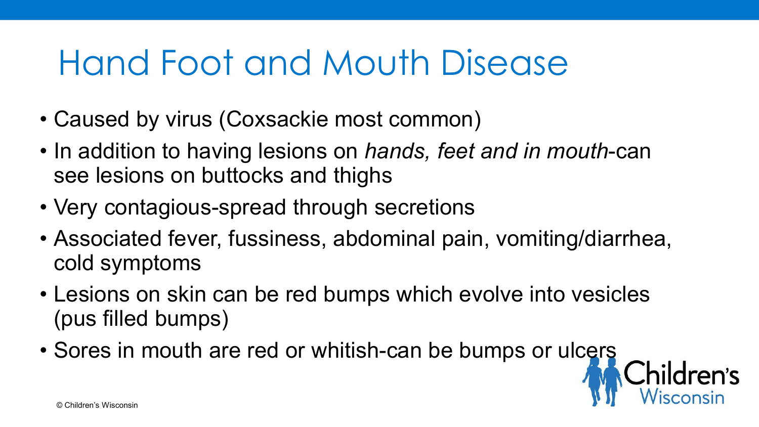#### Hand Foot and Mouth Disease

- Caused by virus (Coxsackie most common)
- In addition to having lesions on *hands, feet and in mouth*-can see lesions on buttocks and thighs
- Very contagious-spread through secretions
- Associated fever, fussiness, abdominal pain, vomiting/diarrhea, cold symptoms
- Lesions on skin can be red bumps which evolve into vesicles (pus filled bumps)
- Sores in mouth are red or whitish-can be bumps or ulcers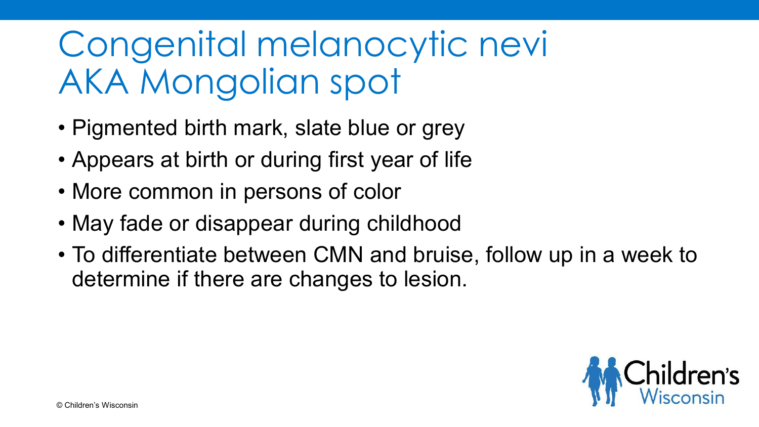# Congenital melanocytic nevi AKA Mongolian spot

- Pigmented birth mark, slate blue or grey
- Appears at birth or during first year of life
- More common in persons of color
- May fade or disappear during childhood
- To differentiate between CMN and bruise, follow up in a week to determine if there are changes to lesion.

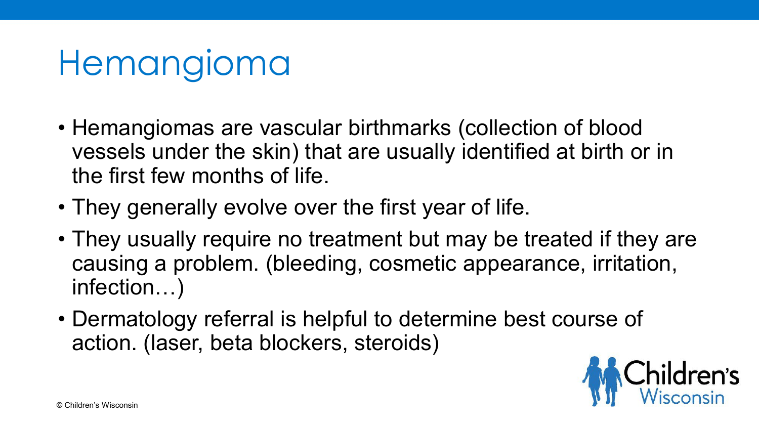# Hemangioma

- Hemangiomas are vascular birthmarks (collection of blood vessels under the skin) that are usually identified at birth or in the first few months of life.
- They generally evolve over the first year of life.
- They usually require no treatment but may be treated if they are causing a problem. (bleeding, cosmetic appearance, irritation, infection…)
- Dermatology referral is helpful to determine best course of action. (laser, beta blockers, steroids)

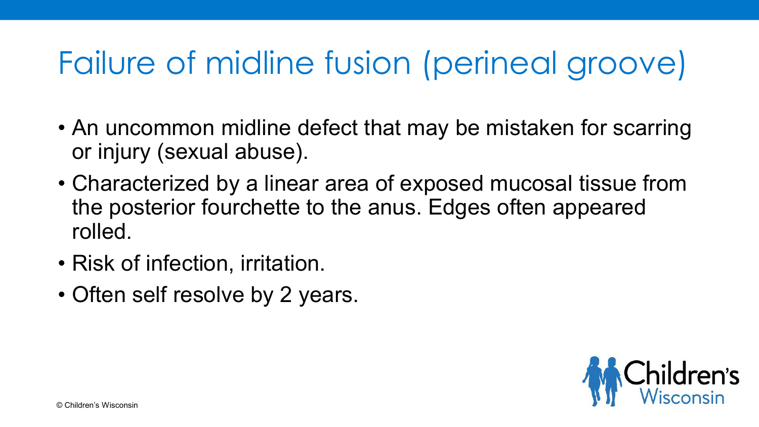#### Failure of midline fusion (perineal groove)

- An uncommon midline defect that may be mistaken for scarring or injury (sexual abuse).
- Characterized by a linear area of exposed mucosal tissue from the posterior fourchette to the anus. Edges often appeared rolled.
- Risk of infection, irritation.
- Often self resolve by 2 years.

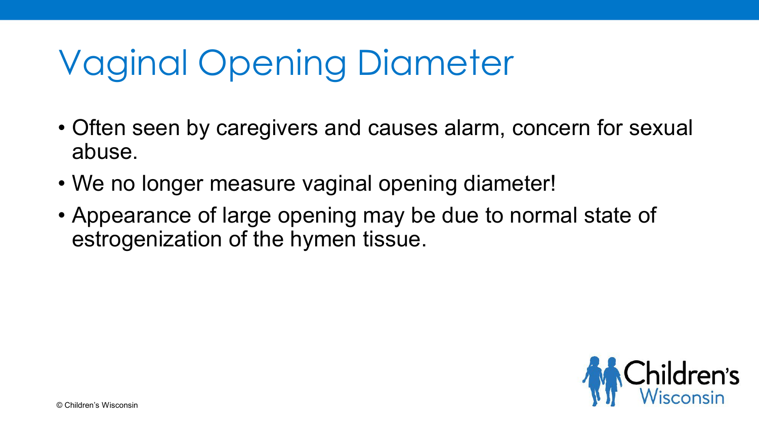# Vaginal Opening Diameter

- Often seen by caregivers and causes alarm, concern for sexual abuse.
- We no longer measure vaginal opening diameter!
- Appearance of large opening may be due to normal state of estrogenization of the hymen tissue.

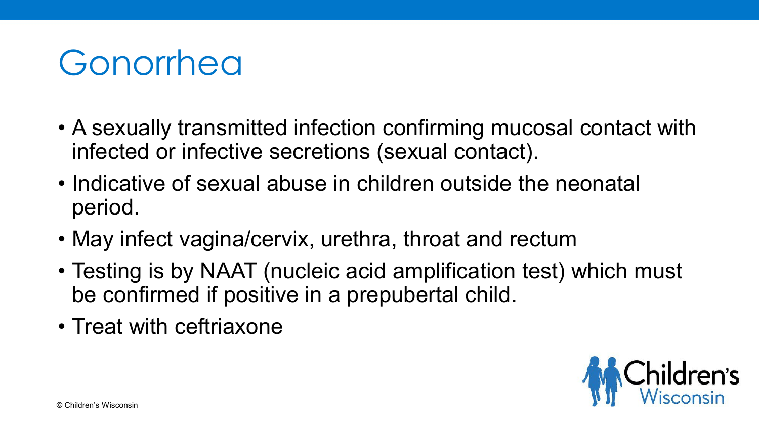### Gonorrhea

- A sexually transmitted infection confirming mucosal contact with infected or infective secretions (sexual contact).
- Indicative of sexual abuse in children outside the neonatal period.
- May infect vagina/cervix, urethra, throat and rectum
- Testing is by NAAT (nucleic acid amplification test) which must be confirmed if positive in a prepubertal child.
- Treat with ceftriaxone

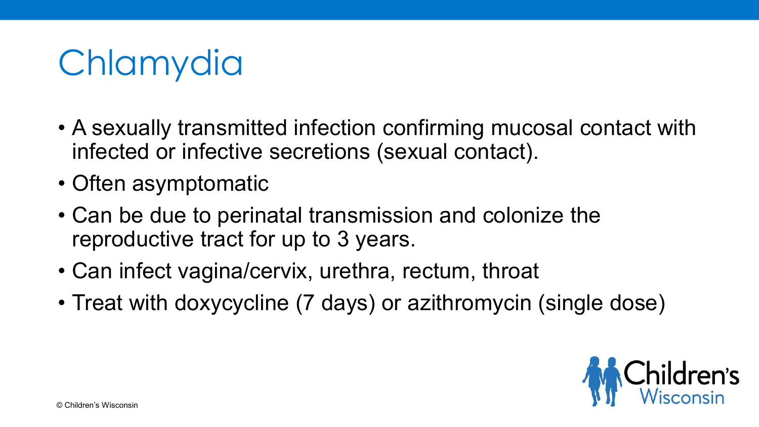# **Chlamydia**

- A sexually transmitted infection confirming mucosal contact with infected or infective secretions (sexual contact).
- Often asymptomatic
- Can be due to perinatal transmission and colonize the reproductive tract for up to 3 years.
- Can infect vagina/cervix, urethra, rectum, throat
- Treat with doxycycline (7 days) or azithromycin (single dose)

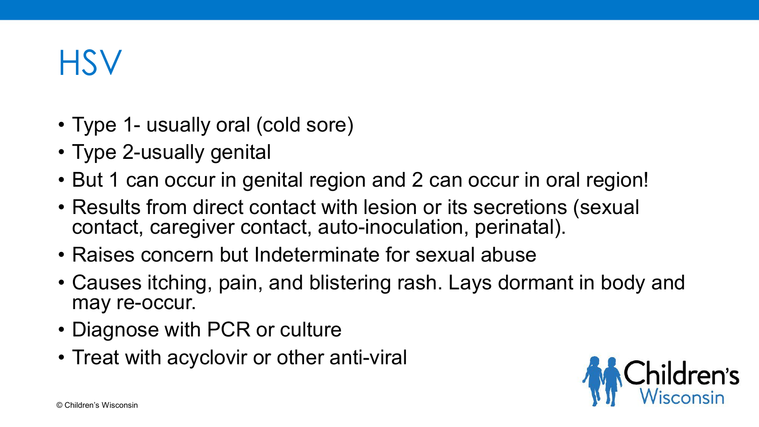#### **HSV**

- Type 1- usually oral (cold sore)
- Type 2-usually genital
- But 1 can occur in genital region and 2 can occur in oral region!
- Results from direct contact with lesion or its secretions (sexual contact, caregiver contact, auto-inoculation, perinatal).
- Raises concern but Indeterminate for sexual abuse
- Causes itching, pain, and blistering rash. Lays dormant in body and may re-occur.
- Diagnose with PCR or culture
- Treat with acyclovir or other anti-viral

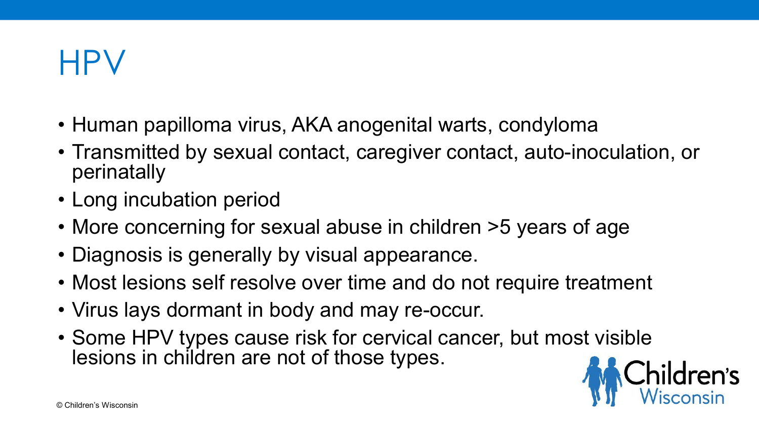#### HPV

- Human papilloma virus, AKA anogenital warts, condyloma
- Transmitted by sexual contact, caregiver contact, auto-inoculation, or perinatally
- Long incubation period
- More concerning for sexual abuse in children >5 years of age
- Diagnosis is generally by visual appearance.
- Most lesions self resolve over time and do not require treatment
- Virus lays dormant in body and may re-occur.
- Some HPV types cause risk for cervical cancer, but most visible lesions in children are not of those types.

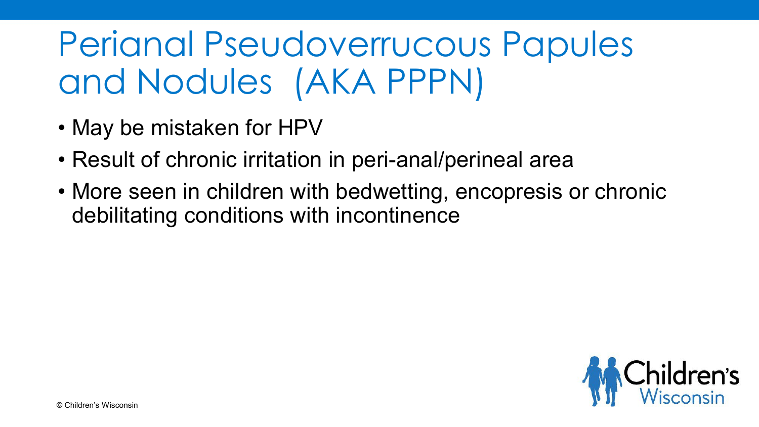# Perianal Pseudoverrucous Papules and Nodules (AKA PPPN)

- May be mistaken for HPV
- Result of chronic irritation in peri-anal/perineal area
- More seen in children with bedwetting, encopresis or chronic debilitating conditions with incontinence

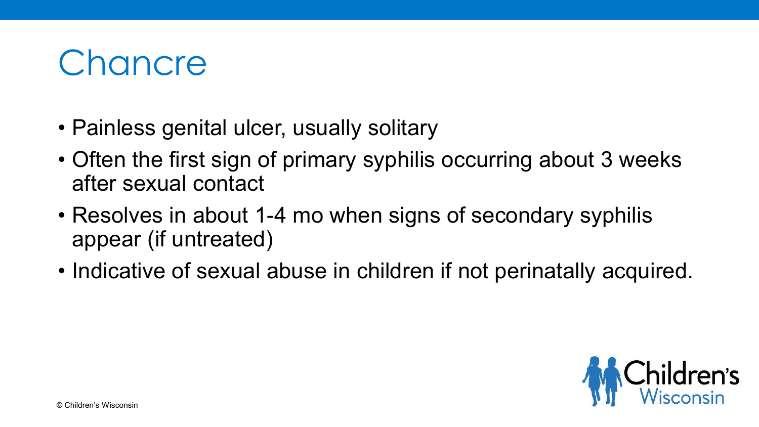

- Painless genital ulcer, usually solitary
- Often the first sign of primary syphilis occurring about 3 weeks after sexual contact
- Resolves in about 1-4 mo when signs of secondary syphilis appear (if untreated)
- Indicative of sexual abuse in children if not perinatally acquired.

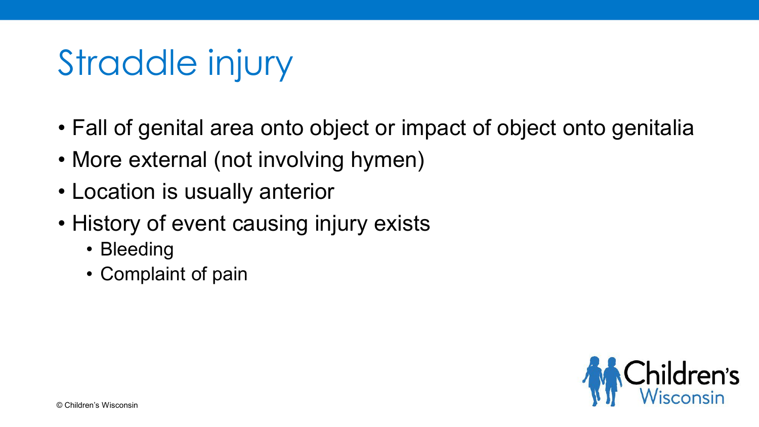# Straddle injury

- Fall of genital area onto object or impact of object onto genitalia
- More external (not involving hymen)
- Location is usually anterior
- History of event causing injury exists
	- Bleeding
	- Complaint of pain

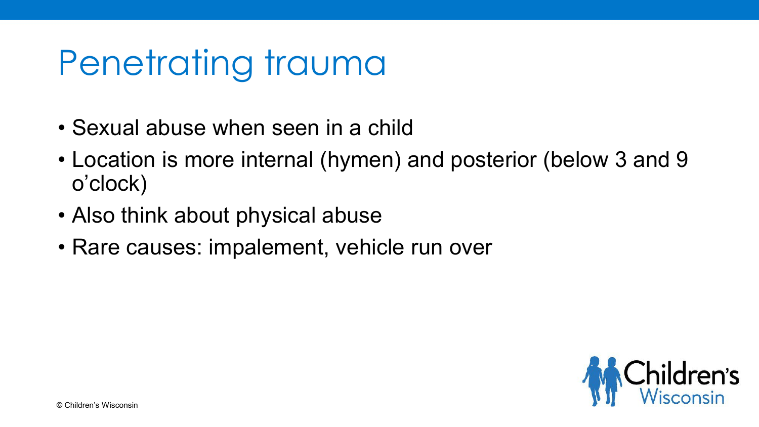# Penetrating trauma

- Sexual abuse when seen in a child
- Location is more internal (hymen) and posterior (below 3 and 9 o'clock)
- Also think about physical abuse
- Rare causes: impalement, vehicle run over

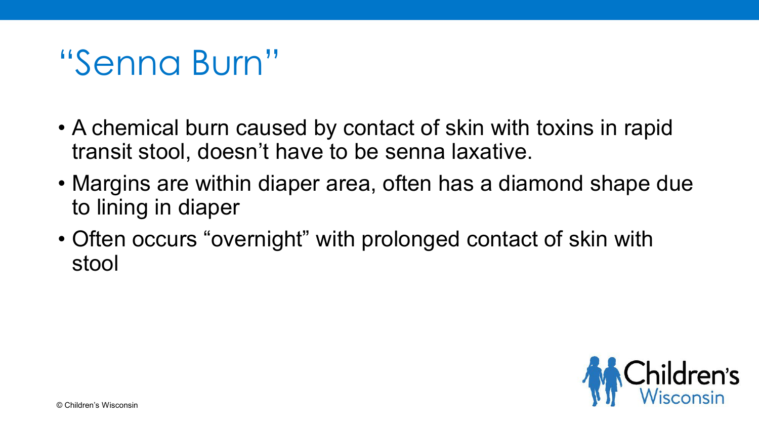#### "Senna Burn"

- A chemical burn caused by contact of skin with toxins in rapid transit stool, doesn't have to be senna laxative.
- Margins are within diaper area, often has a diamond shape due to lining in diaper
- Often occurs "overnight" with prolonged contact of skin with stool

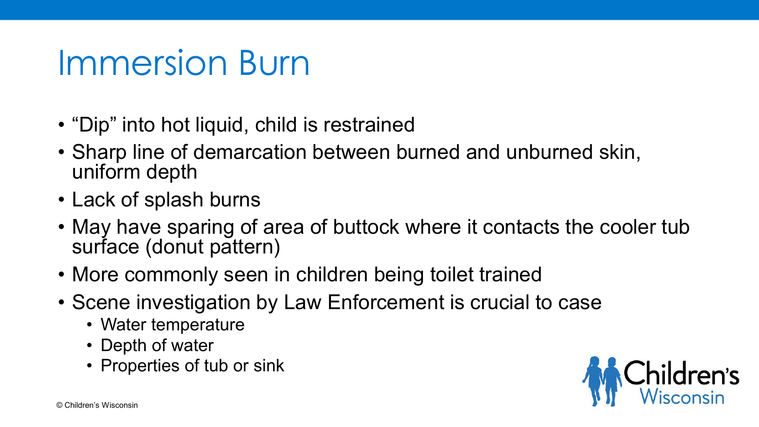#### Immersion Burn

- "Dip" into hot liquid, child is restrained
- Sharp line of demarcation between burned and unburned skin, uniform depth
- Lack of splash burns
- May have sparing of area of buttock where it contacts the cooler tub surface (donut pattern)
- More commonly seen in children being toilet trained
- Scene investigation by Law Enforcement is crucial to case
	- Water temperature
	- Depth of water
	- Properties of tub or sink

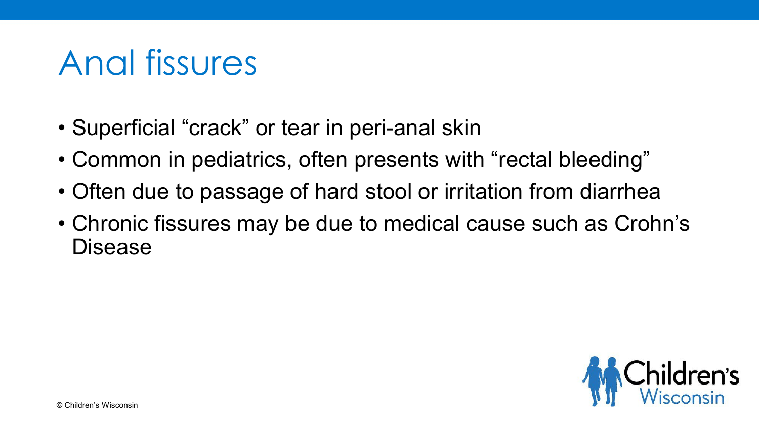### Anal fissures

- Superficial "crack" or tear in peri-anal skin
- Common in pediatrics, often presents with "rectal bleeding"
- Often due to passage of hard stool or irritation from diarrhea
- Chronic fissures may be due to medical cause such as Crohn's Disease

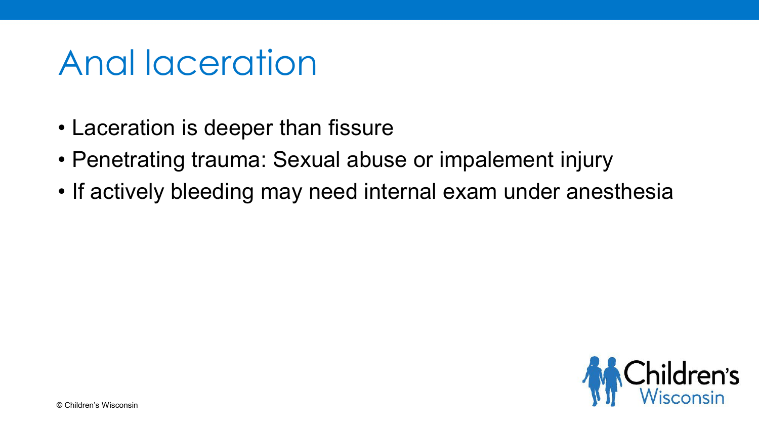#### Anal laceration

- Laceration is deeper than fissure
- Penetrating trauma: Sexual abuse or impalement injury
- If actively bleeding may need internal exam under anesthesia

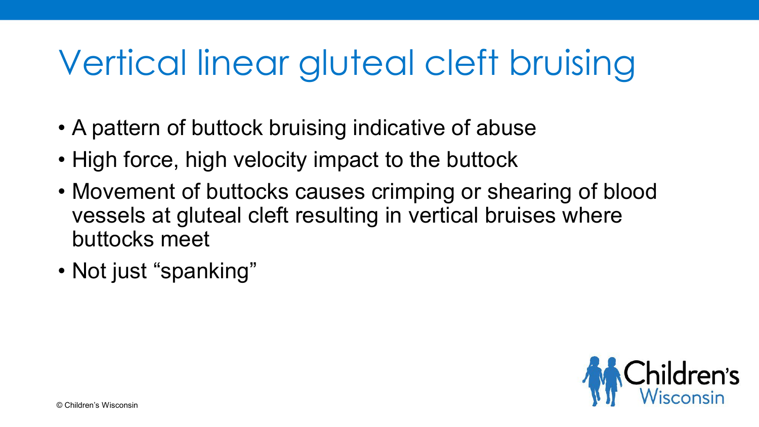# Vertical linear gluteal cleft bruising

- A pattern of buttock bruising indicative of abuse
- High force, high velocity impact to the buttock
- Movement of buttocks causes crimping or shearing of blood vessels at gluteal cleft resulting in vertical bruises where buttocks meet
- Not just "spanking"

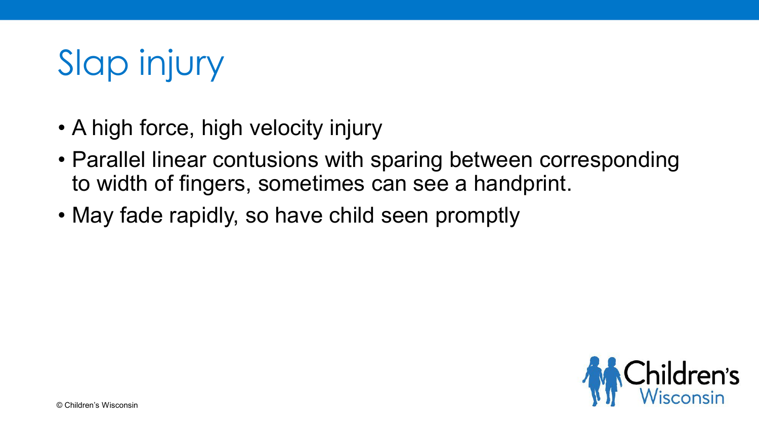# Slap injury

- A high force, high velocity injury
- Parallel linear contusions with sparing between corresponding to width of fingers, sometimes can see a handprint.
- May fade rapidly, so have child seen promptly

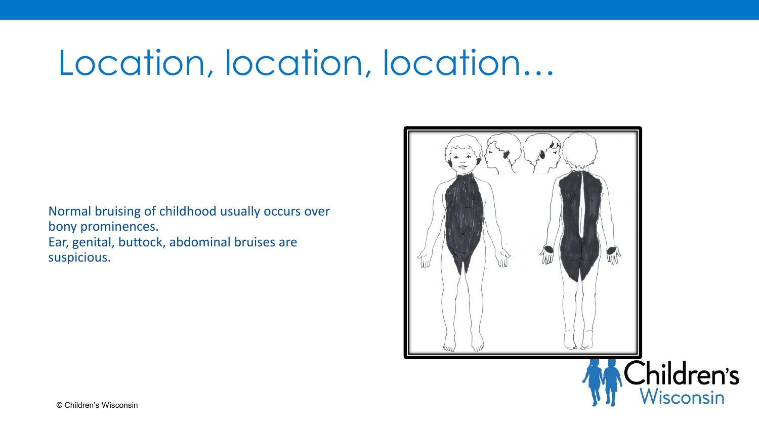# Location, location, location…

Normal bruising of childhood usually occurs over bony prominences. Ear, genital, buttock, abdominal bruises are suspicious.

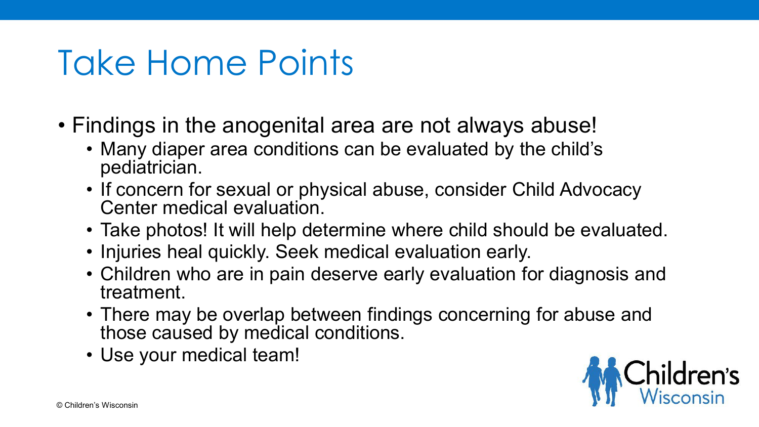# Take Home Points

- Findings in the anogenital area are not always abuse!
	- Many diaper area conditions can be evaluated by the child's pediatrician.
	- If concern for sexual or physical abuse, consider Child Advocacy Center medical evaluation
	- Take photos! It will help determine where child should be evaluated.
	- Injuries heal quickly. Seek medical evaluation early.
	- Children who are in pain deserve early evaluation for diagnosis and treatment.
	- There may be overlap between findings concerning for abuse and those caused by medical conditions.
	- Use your medical team!

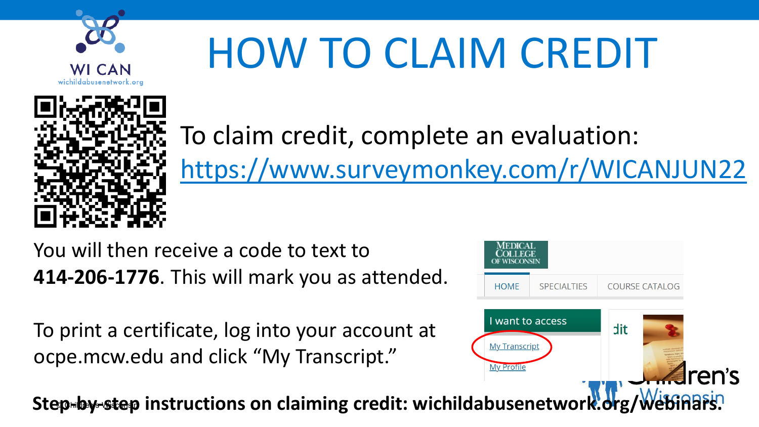

# HOW TO CLAIM CREDIT



To claim credit, complete an evaluation: <https://www.surveymonkey.com/r/WICANJUN22>

You will then receive a code to text to **414-206-1776**. This will mark you as attended.

To print a certificate, log into your account at ocpe.mcw.edu and click "My Transcript."



Step<del>-by-step</del> instructions on claiming credit: wichildabusenetwork.org/Webinars.